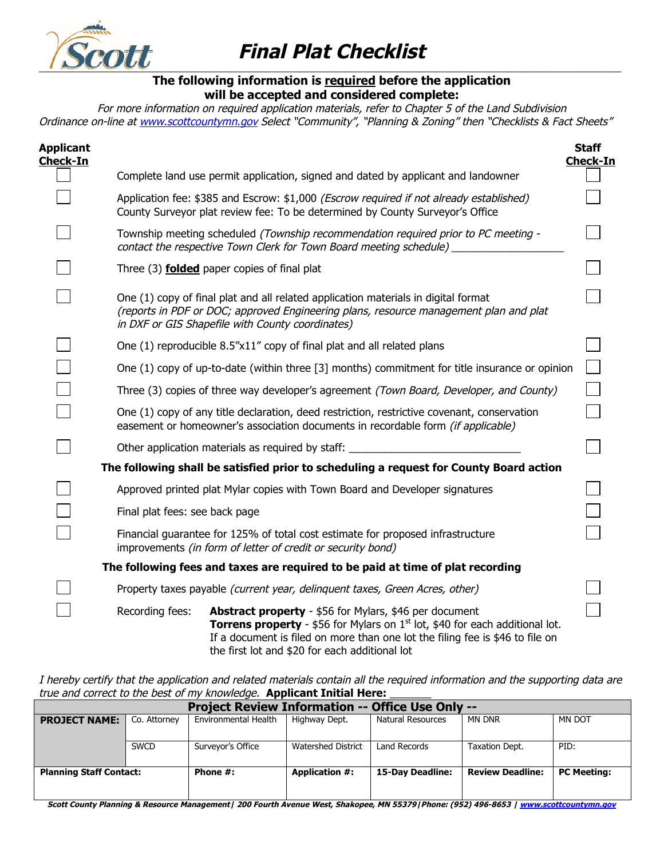

## **Final Plat Checklist**

## **The following information is required before the application will be accepted and considered complete:**

For more information on required application materials, refer to Chapter 5 of the Land Subdivision Ordinance on-line at www.scottcountymn.gov Select "Community", "Planning & Zoning" then "Checklists & Fact Sheets"

| Applicant<br>Check-In                                                                  |                                                                                                                                                |                                                                                                                                                                                                                                                                                    | <b>Staff</b><br><b>Check-In</b> |  |  |  |  |
|----------------------------------------------------------------------------------------|------------------------------------------------------------------------------------------------------------------------------------------------|------------------------------------------------------------------------------------------------------------------------------------------------------------------------------------------------------------------------------------------------------------------------------------|---------------------------------|--|--|--|--|
|                                                                                        |                                                                                                                                                | Complete land use permit application, signed and dated by applicant and landowner                                                                                                                                                                                                  |                                 |  |  |  |  |
|                                                                                        |                                                                                                                                                | Application fee: \$385 and Escrow: \$1,000 (Escrow required if not already established)<br>County Surveyor plat review fee: To be determined by County Surveyor's Office                                                                                                           |                                 |  |  |  |  |
|                                                                                        |                                                                                                                                                | Township meeting scheduled (Township recommendation required prior to PC meeting -<br>contact the respective Town Clerk for Town Board meeting schedule)                                                                                                                           |                                 |  |  |  |  |
|                                                                                        |                                                                                                                                                | Three (3) <b>folded</b> paper copies of final plat                                                                                                                                                                                                                                 |                                 |  |  |  |  |
|                                                                                        |                                                                                                                                                | One (1) copy of final plat and all related application materials in digital format<br>(reports in PDF or DOC; approved Engineering plans, resource management plan and plat<br>in DXF or GIS Shapefile with County coordinates)                                                    |                                 |  |  |  |  |
|                                                                                        |                                                                                                                                                | One (1) reproducible 8.5"x11" copy of final plat and all related plans                                                                                                                                                                                                             |                                 |  |  |  |  |
|                                                                                        |                                                                                                                                                | One (1) copy of up-to-date (within three [3] months) commitment for title insurance or opinion                                                                                                                                                                                     |                                 |  |  |  |  |
|                                                                                        |                                                                                                                                                | Three (3) copies of three way developer's agreement (Town Board, Developer, and County)                                                                                                                                                                                            |                                 |  |  |  |  |
|                                                                                        |                                                                                                                                                | One (1) copy of any title declaration, deed restriction, restrictive covenant, conservation<br>easement or homeowner's association documents in recordable form (if applicable)                                                                                                    |                                 |  |  |  |  |
|                                                                                        |                                                                                                                                                | Other application materials as required by staff:                                                                                                                                                                                                                                  |                                 |  |  |  |  |
| The following shall be satisfied prior to scheduling a request for County Board action |                                                                                                                                                |                                                                                                                                                                                                                                                                                    |                                 |  |  |  |  |
|                                                                                        |                                                                                                                                                | Approved printed plat Mylar copies with Town Board and Developer signatures                                                                                                                                                                                                        |                                 |  |  |  |  |
|                                                                                        | Final plat fees: see back page                                                                                                                 |                                                                                                                                                                                                                                                                                    |                                 |  |  |  |  |
|                                                                                        | Financial guarantee for 125% of total cost estimate for proposed infrastructure<br>improvements (in form of letter of credit or security bond) |                                                                                                                                                                                                                                                                                    |                                 |  |  |  |  |
|                                                                                        |                                                                                                                                                | The following fees and taxes are required to be paid at time of plat recording                                                                                                                                                                                                     |                                 |  |  |  |  |
|                                                                                        |                                                                                                                                                | Property taxes payable (current year, delinquent taxes, Green Acres, other)                                                                                                                                                                                                        |                                 |  |  |  |  |
|                                                                                        | Recording fees:                                                                                                                                | Abstract property - \$56 for Mylars, \$46 per document<br><b>Torrens property</b> - \$56 for Mylars on $1st$ lot, \$40 for each additional lot.<br>If a document is filed on more than one lot the filing fee is \$46 to file on<br>the first lot and \$20 for each additional lot |                                 |  |  |  |  |

I hereby certify that the application and related materials contain all the required information and the supporting data are true and correct to the best of my knowledge. **Applicant Initial Here:** 

| <b>Project Review Information -- Office Use Only --</b> |              |                             |                       |                   |                         |                    |  |  |
|---------------------------------------------------------|--------------|-----------------------------|-----------------------|-------------------|-------------------------|--------------------|--|--|
| <b>PROJECT NAME:</b>                                    | Co. Attorney | <b>Environmental Health</b> | Highway Dept.         | Natural Resources | <b>MN DNR</b>           | MN DOT             |  |  |
|                                                         | <b>SWCD</b>  | Surveyor's Office           | Watershed District    | Land Records      | Taxation Dept.          | PID:               |  |  |
| <b>Planning Staff Contact:</b>                          |              | Phone $#$ :                 | <b>Application #:</b> | 15-Day Deadline:  | <b>Review Deadline:</b> | <b>PC Meeting:</b> |  |  |

**Scott County Planning & Resource Management| 200 Fourth Avenue West, Shakopee, MN 55379|Phone: (952) 496-8653 | www.scottcountymn.gov**